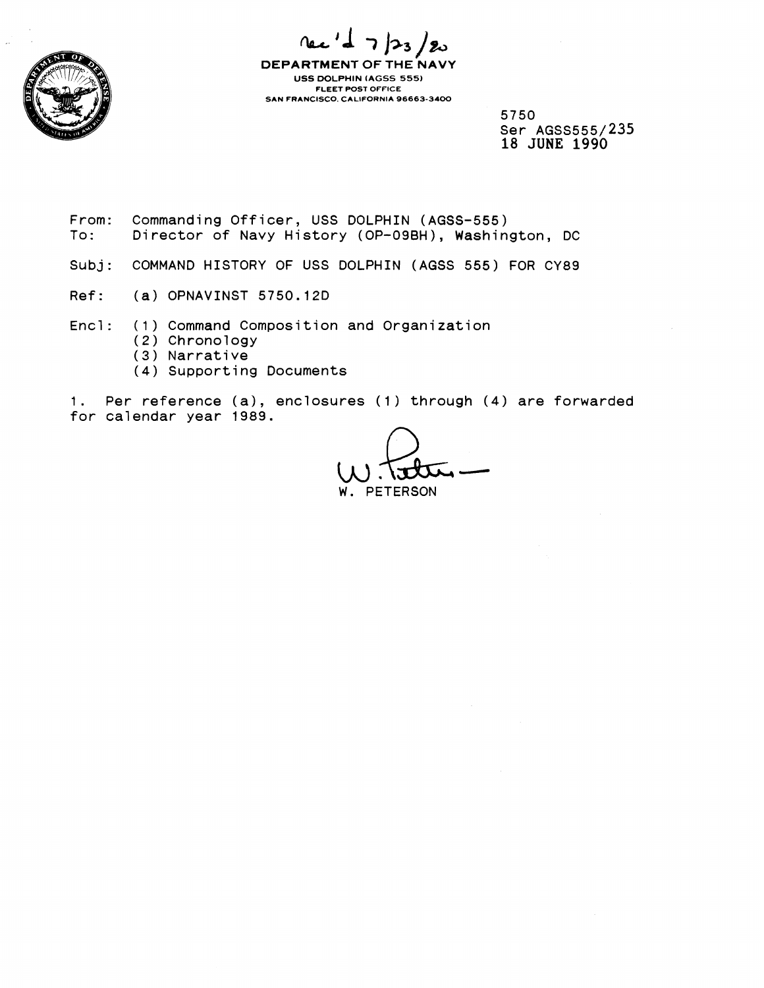

 $723/20$ rec

**DEPARTMENT OF THE NAVY USS DOLPHIN (AGSS 555) FLEET POST OFFICE SAN FRANCISCO. CALIFORNIA 96663-3400** 

> 5750 Ser AGSS555/235 18 JUNE 1990

- From: Commanding Officer, USS DOLPHIN (AGSS-555)<br>To: Director of Navy History (OP-09BH), Washing Director of Navy History (OP-09BH), Washington, DC
- Subj: COMMAND HISTORY OF USS DOLPHIN (AGSS 555) FOR CY89
- Ref: (a) OPNAVINST 5750.12D
- Encl: (1) Command Composition and Organization
	- (2) Chronology
	- (3) Narrative
	- **(4)** Supporting Documents

I. Per reference (a), enclosures **(1)** through **(4)** are forwarded for calendar year 1989.

**PETERSON**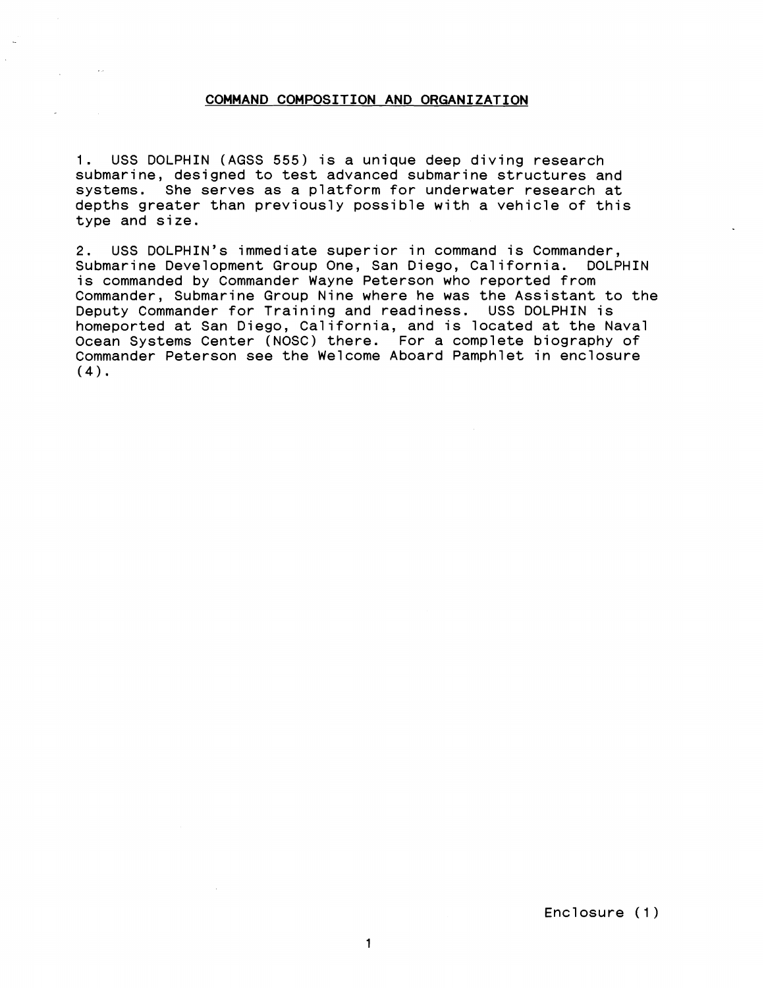## **COMMAND COMPOSITION AND ORGANIZATION**

**1.** USS DOLPHIN (AGSS 555) is a unique deep diving research submarine, designed to test advanced submarine structures and systems. She serves as a platform for underwater research at depths greater than previously possible with a vehicle of this type and size.

2. USS DOLPHIN'S immediate superior in command is Commander, Submarine Development Group One, San Diego, California. DOLPHIN is commanded by Commander Wayne Peterson who reported from Commander, Submarine Group Nine where he was the Assistant to the Deputy Commander for Training and readiness. USS DOLPHIN is homeported at San Diego, California, and is located at the Naval Ocean Systems Center (NOSC) there. For a complete biography of Commander Peterson see the Welcome Aboard Pamphlet in enclosure **(4).** 

Enclosure (1)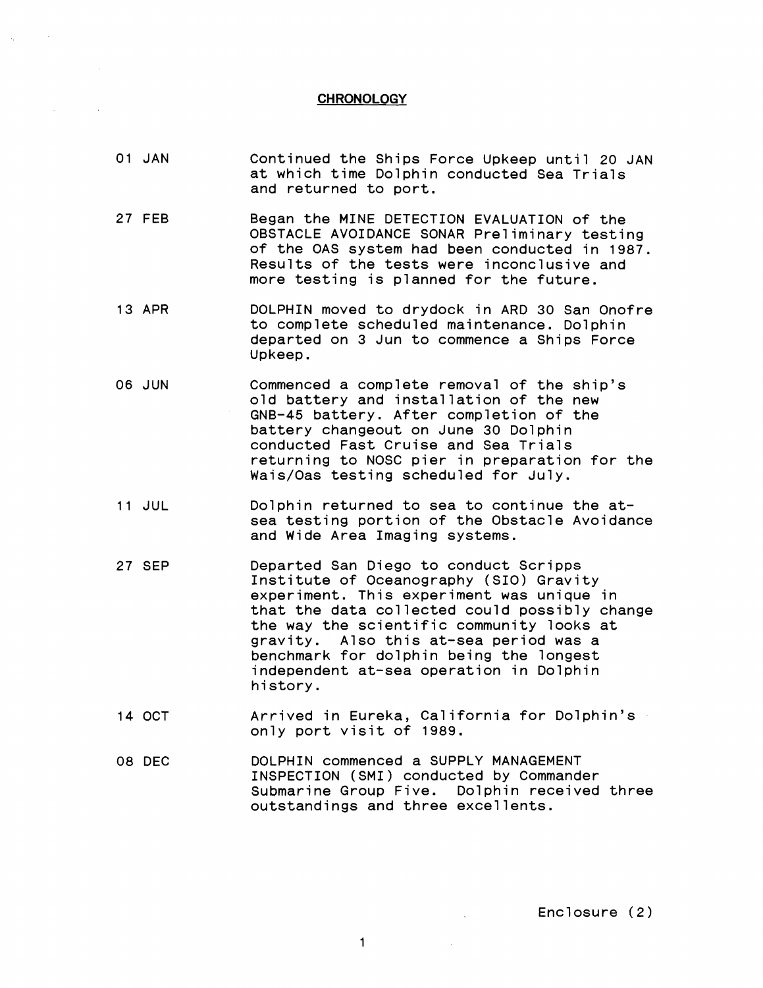## **CHRONOLOGY**

- 01 JAN Continued the Ships Force Upkeep until 20 JAN at which time Dolphin conducted Sea Trials and returned to port.
- 27 FEE Began the MINE DETECTION EVALUATION of the OBSTACLE AVOIDANCE SONAR Preliminary testing of the OAS system had been conducted in 1987. Results of the tests were inconclusive and more testing is planned for the future.
- 13 APR DOLPHIN moved to drydock in ARD 30 San Onofre to complete scheduled maintenance. Dolphin departed on 3 Jun to commence a Ships Force Upkeep.
- 06 JUN Commenced a complete removal of the ship's old battery and installation of the new GNB-45 battery. After completion of the battery changeout on June 30 Dolphin conducted Fast Cruise and Sea Trials returning to NOSC pier in preparation for the Wais/Oas testing scheduled for July.
- 11 JUL Dolphin returned to sea to continue the atsea testing portion of the Obstacle Avoidance and Wide Area Imaging systems.
- 27 SEP Departed San Diego to conduct Scripps Institute of Oceanography (SIO) Gravity experiment. This experiment was unique in that the data collected could possibly change the way the scientific community looks at gravity. Also this at-sea period was a benchmark for dolphin being the longest independent at-sea operation in Dolphin history.
- 14 OCT Arrived in Eureka, California for Dolphin's only port visit of 1989.
- 08 DEC DOLPHIN commenced a SUPPLY MANAGEMENT INSPECTION (SMI) conducted by Commander Submarine Group Five. Dolphin received three outstandings and three excellents.

 $\Delta \sim 1$ 

Enclosure (2)